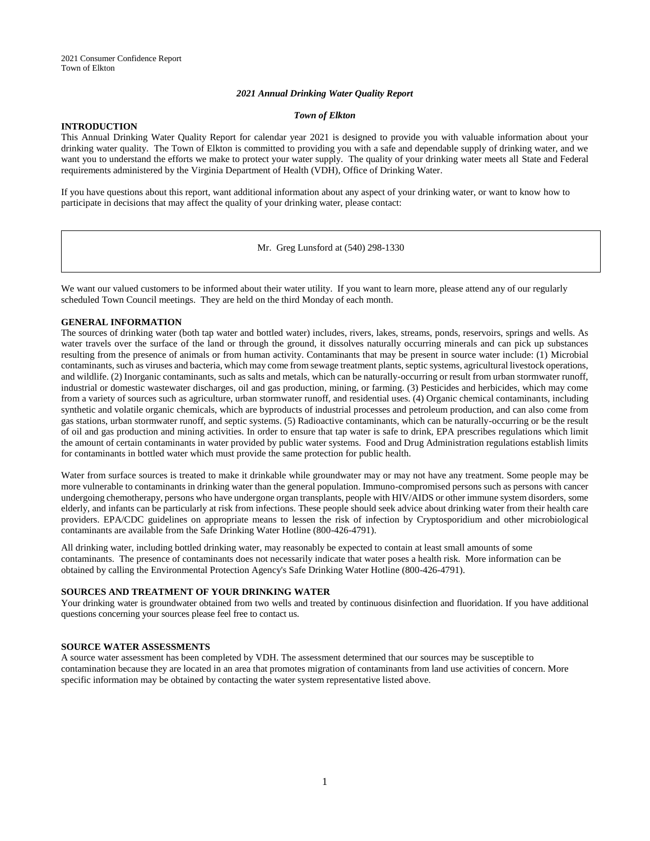## *2021 Annual Drinking Water Quality Report*

## *Town of Elkton*

# **INTRODUCTION**

This Annual Drinking Water Quality Report for calendar year 2021 is designed to provide you with valuable information about your drinking water quality. The Town of Elkton is committed to providing you with a safe and dependable supply of drinking water, and we want you to understand the efforts we make to protect your water supply. The quality of your drinking water meets all State and Federal requirements administered by the Virginia Department of Health (VDH), Office of Drinking Water.

If you have questions about this report, want additional information about any aspect of your drinking water, or want to know how to participate in decisions that may affect the quality of your drinking water, please contact:

Mr. Greg Lunsford at (540) 298-1330

We want our valued customers to be informed about their water utility. If you want to learn more, please attend any of our regularly scheduled Town Council meetings. They are held on the third Monday of each month.

## **GENERAL INFORMATION**

The sources of drinking water (both tap water and bottled water) includes, rivers, lakes, streams, ponds, reservoirs, springs and wells. As water travels over the surface of the land or through the ground, it dissolves naturally occurring minerals and can pick up substances resulting from the presence of animals or from human activity. Contaminants that may be present in source water include: (1) Microbial contaminants, such as viruses and bacteria, which may come from sewage treatment plants, septic systems, agricultural livestock operations, and wildlife. (2) Inorganic contaminants, such as salts and metals, which can be naturally-occurring or result from urban stormwater runoff, industrial or domestic wastewater discharges, oil and gas production, mining, or farming. (3) Pesticides and herbicides, which may come from a variety of sources such as agriculture, urban stormwater runoff, and residential uses. (4) Organic chemical contaminants, including synthetic and volatile organic chemicals, which are byproducts of industrial processes and petroleum production, and can also come from gas stations, urban stormwater runoff, and septic systems. (5) Radioactive contaminants, which can be naturally-occurring or be the result of oil and gas production and mining activities. In order to ensure that tap water is safe to drink, EPA prescribes regulations which limit the amount of certain contaminants in water provided by public water systems. Food and Drug Administration regulations establish limits for contaminants in bottled water which must provide the same protection for public health.

Water from surface sources is treated to make it drinkable while groundwater may or may not have any treatment. Some people may be more vulnerable to contaminants in drinking water than the general population. Immuno-compromised persons such as persons with cancer undergoing chemotherapy, persons who have undergone organ transplants, people with HIV/AIDS or other immune system disorders, some elderly, and infants can be particularly at risk from infections. These people should seek advice about drinking water from their health care providers. EPA/CDC guidelines on appropriate means to lessen the risk of infection by Cryptosporidium and other microbiological contaminants are available from the Safe Drinking Water Hotline (800-426-4791).

All drinking water, including bottled drinking water, may reasonably be expected to contain at least small amounts of some contaminants. The presence of contaminants does not necessarily indicate that water poses a health risk. More information can be obtained by calling the Environmental Protection Agency's Safe Drinking Water Hotline (800-426-4791).

## **SOURCES AND TREATMENT OF YOUR DRINKING WATER**

Your drinking water is groundwater obtained from two wells and treated by continuous disinfection and fluoridation. If you have additional questions concerning your sources please feel free to contact us.

## **SOURCE WATER ASSESSMENTS**

A source water assessment has been completed by VDH. The assessment determined that our sources may be susceptible to contamination because they are located in an area that promotes migration of contaminants from land use activities of concern. More specific information may be obtained by contacting the water system representative listed above.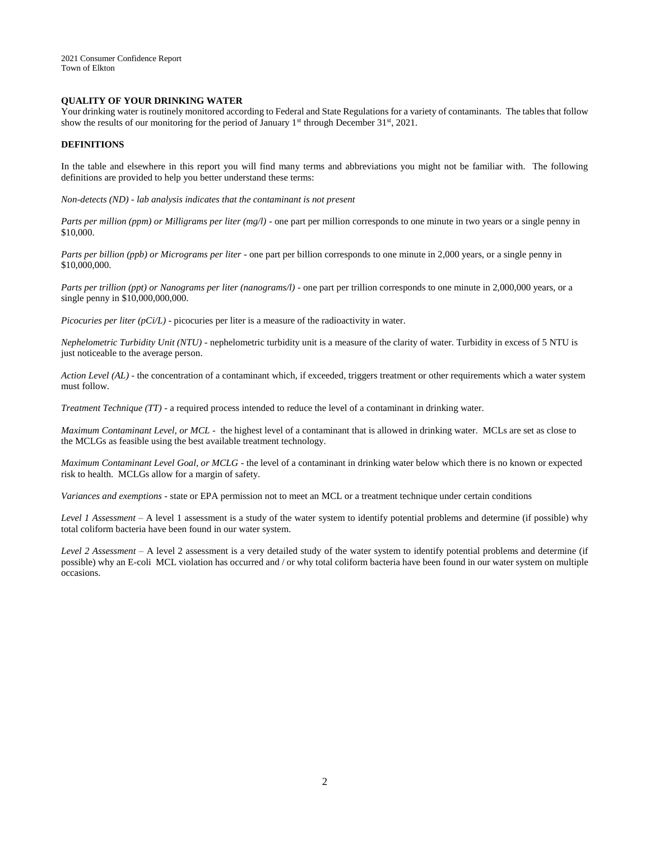2021 Consumer Confidence Report Town of Elkton

## **QUALITY OF YOUR DRINKING WATER**

Your drinking water is routinely monitored according to Federal and State Regulations for a variety of contaminants. The tables that follow show the results of our monitoring for the period of January  $1^{st}$  through December 31 $st$ , 2021.

#### **DEFINITIONS**

In the table and elsewhere in this report you will find many terms and abbreviations you might not be familiar with. The following definitions are provided to help you better understand these terms:

*Non-detects (ND) - lab analysis indicates that the contaminant is not present*

*Parts per million (ppm) or Milligrams per liter (mg/l)* - one part per million corresponds to one minute in two years or a single penny in \$10,000.

*Parts per billion (ppb) or Micrograms per liter* - one part per billion corresponds to one minute in 2,000 years, or a single penny in \$10,000,000.

*Parts per trillion (ppt) or Nanograms per liter (nanograms/l)* - one part per trillion corresponds to one minute in 2,000,000 years, or a single penny in \$10,000,000,000.

*Picocuries per liter (pCi/L)* - picocuries per liter is a measure of the radioactivity in water.

*Nephelometric Turbidity Unit (NTU)* - nephelometric turbidity unit is a measure of the clarity of water. Turbidity in excess of 5 NTU is just noticeable to the average person.

*Action Level (AL)* - the concentration of a contaminant which, if exceeded, triggers treatment or other requirements which a water system must follow.

*Treatment Technique (TT)* - a required process intended to reduce the level of a contaminant in drinking water.

*Maximum Contaminant Level, or MCL* - the highest level of a contaminant that is allowed in drinking water. MCLs are set as close to the MCLGs as feasible using the best available treatment technology.

*Maximum Contaminant Level Goal, or MCLG -* the level of a contaminant in drinking water below which there is no known or expected risk to health. MCLGs allow for a margin of safety.

*Variances and exemptions* - state or EPA permission not to meet an MCL or a treatment technique under certain conditions

*Level 1 Assessment* – A level 1 assessment is a study of the water system to identify potential problems and determine (if possible) why total coliform bacteria have been found in our water system.

*Level 2 Assessment* – A level 2 assessment is a very detailed study of the water system to identify potential problems and determine (if possible) why an E-coli MCL violation has occurred and / or why total coliform bacteria have been found in our water system on multiple occasions.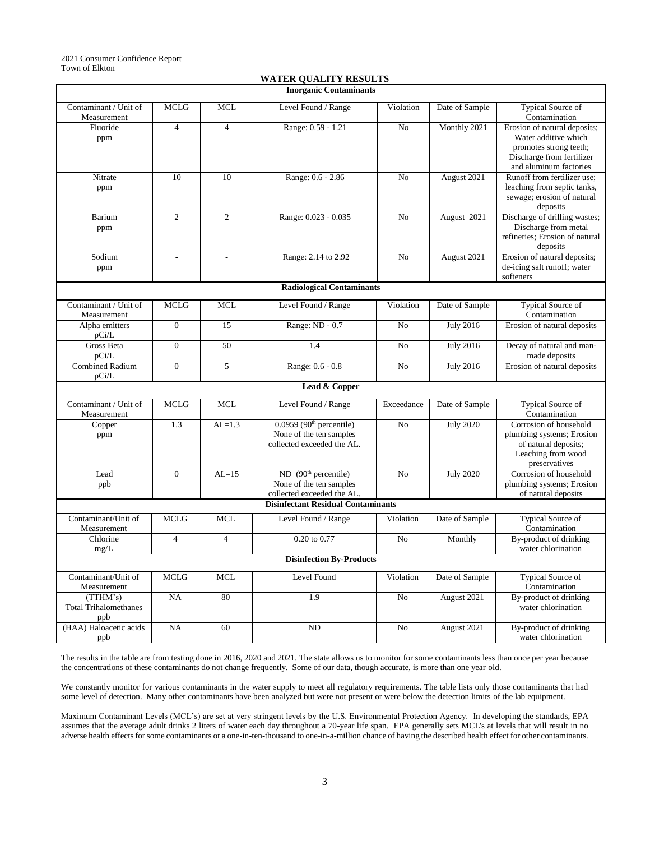| <b>WATER QUALITY RESULTS</b> |
|------------------------------|
|                              |

| <b>Inorganic Contaminants</b>                   |                          |                          |                                                                                                 |                |                  |                                                                                                                                       |  |
|-------------------------------------------------|--------------------------|--------------------------|-------------------------------------------------------------------------------------------------|----------------|------------------|---------------------------------------------------------------------------------------------------------------------------------------|--|
| Contaminant / Unit of<br>Measurement            | <b>MCLG</b>              | <b>MCL</b>               | Level Found / Range                                                                             | Violation      | Date of Sample   | Typical Source of<br>Contamination                                                                                                    |  |
| Fluoride<br>ppm                                 | $\overline{4}$           | $\overline{4}$           | Range: 0.59 - 1.21                                                                              | N <sub>o</sub> | Monthly 2021     | Erosion of natural deposits;<br>Water additive which<br>promotes strong teeth;<br>Discharge from fertilizer<br>and aluminum factories |  |
| Nitrate<br>ppm                                  | 10                       | 10                       | Range: 0.6 - 2.86                                                                               | N <sub>o</sub> | August 2021      | Runoff from fertilizer use:<br>leaching from septic tanks,<br>sewage; erosion of natural<br>deposits                                  |  |
| Barium<br>ppm                                   | $\overline{2}$           | $\overline{2}$           | Range: 0.023 - 0.035                                                                            | No             | August 2021      | Discharge of drilling wastes;<br>Discharge from metal<br>refineries; Erosion of natural<br>deposits                                   |  |
| Sodium<br>ppm                                   | $\overline{\phantom{a}}$ | $\overline{\phantom{a}}$ | Range: 2.14 to 2.92                                                                             | No             | August 2021      | Erosion of natural deposits;<br>de-icing salt runoff; water<br>softeners                                                              |  |
| <b>Radiological Contaminants</b>                |                          |                          |                                                                                                 |                |                  |                                                                                                                                       |  |
| Contaminant / Unit of<br>Measurement            | <b>MCLG</b>              | <b>MCL</b>               | Level Found / Range                                                                             | Violation      | Date of Sample   | Typical Source of<br>Contamination                                                                                                    |  |
| Alpha emitters<br>pCi/L                         | $\overline{0}$           | 15                       | Range: ND - 0.7                                                                                 | No             | <b>July 2016</b> | Erosion of natural deposits                                                                                                           |  |
| Gross Beta<br>pCi/L                             | $\Omega$                 | 50                       | 1.4                                                                                             | No             | <b>July 2016</b> | Decay of natural and man-<br>made deposits                                                                                            |  |
| <b>Combined Radium</b><br>pCi/L                 | $\boldsymbol{0}$         | 5                        | Range: 0.6 - 0.8                                                                                | N <sub>o</sub> | July 2016        | Erosion of natural deposits                                                                                                           |  |
| Lead & Copper                                   |                          |                          |                                                                                                 |                |                  |                                                                                                                                       |  |
| Contaminant / Unit of<br>Measurement            | <b>MCLG</b>              | <b>MCL</b>               | Level Found / Range                                                                             | Exceedance     | Date of Sample   | Typical Source of<br>Contamination                                                                                                    |  |
| Copper<br>ppm                                   | 1.3                      | $AL=1.3$                 | $0.0959$ (90 <sup>th</sup> percentile)<br>None of the ten samples<br>collected exceeded the AL. | No             | <b>July 2020</b> | Corrosion of household<br>plumbing systems; Erosion<br>of natural deposits;<br>Leaching from wood<br>preservatives                    |  |
| Lead<br>ppb                                     | $\boldsymbol{0}$         | $AL=15$                  | ND (90 <sup>th</sup> percentile)<br>None of the ten samples<br>collected exceeded the AL.       | No             | <b>July 2020</b> | Corrosion of household<br>plumbing systems; Erosion<br>of natural deposits                                                            |  |
| <b>Disinfectant Residual Contaminants</b>       |                          |                          |                                                                                                 |                |                  |                                                                                                                                       |  |
| Contaminant/Unit of<br>Measurement              | <b>MCLG</b>              | <b>MCL</b>               | Level Found / Range                                                                             | Violation      | Date of Sample   | Typical Source of<br>Contamination                                                                                                    |  |
| Chlorine<br>mg/L                                | $\overline{4}$           | $\overline{4}$           | 0.20 to 0.77                                                                                    | N <sub>o</sub> | Monthly          | By-product of drinking<br>water chlorination                                                                                          |  |
| <b>Disinfection By-Products</b>                 |                          |                          |                                                                                                 |                |                  |                                                                                                                                       |  |
| Contaminant/Unit of<br>Measurement              | <b>MCLG</b>              | <b>MCL</b>               | Level Found                                                                                     | Violation      | Date of Sample   | Typical Source of<br>Contamination                                                                                                    |  |
| (TTHM's)<br><b>Total Trihalomethanes</b><br>ppb | NA                       | 80                       | 1.9                                                                                             | No             | August 2021      | By-product of drinking<br>water chlorination                                                                                          |  |
| (HAA) Haloacetic acids<br>ppb                   | NA                       | 60                       | N <sub>D</sub>                                                                                  | No             | August 2021      | By-product of drinking<br>water chlorination                                                                                          |  |

The results in the table are from testing done in 2016, 2020 and 2021. The state allows us to monitor for some contaminants less than once per year because the concentrations of these contaminants do not change frequently. Some of our data, though accurate, is more than one year old.

We constantly monitor for various contaminants in the water supply to meet all regulatory requirements. The table lists only those contaminants that had some level of detection. Many other contaminants have been analyzed but were not present or were below the detection limits of the lab equipment.

Maximum Contaminant Levels (MCL's) are set at very stringent levels by the U.S. Environmental Protection Agency. In developing the standards, EPA assumes that the average adult drinks 2 liters of water each day throughout a 70-year life span. EPA generally sets MCL's at levels that will result in no adverse health effects for some contaminants or a one-in-ten-thousand to one-in-a-million chance of having the described health effect for other contaminants.